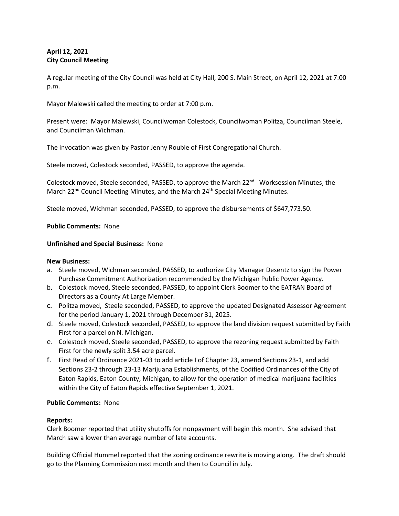# **April 12, 2021 City Council Meeting**

A regular meeting of the City Council was held at City Hall, 200 S. Main Street, on April 12, 2021 at 7:00 p.m.

Mayor Malewski called the meeting to order at 7:00 p.m.

Present were: Mayor Malewski, Councilwoman Colestock, Councilwoman Politza, Councilman Steele, and Councilman Wichman.

The invocation was given by Pastor Jenny Rouble of First Congregational Church.

Steele moved, Colestock seconded, PASSED, to approve the agenda.

Colestock moved, Steele seconded, PASSED, to approve the March 22<sup>nd</sup> Worksession Minutes, the March  $22^{nd}$  Council Meeting Minutes, and the March  $24^{th}$  Special Meeting Minutes.

Steele moved, Wichman seconded, PASSED, to approve the disbursements of \$647,773.50.

## **Public Comments:** None

## **Unfinished and Special Business:** None

#### **New Business:**

- a. Steele moved, Wichman seconded, PASSED, to authorize City Manager Desentz to sign the Power Purchase Commitment Authorization recommended by the Michigan Public Power Agency.
- b. Colestock moved, Steele seconded, PASSED, to appoint Clerk Boomer to the EATRAN Board of Directors as a County At Large Member.
- c. Politza moved, Steele seconded, PASSED, to approve the updated Designated Assessor Agreement for the period January 1, 2021 through December 31, 2025.
- d. Steele moved, Colestock seconded, PASSED, to approve the land division request submitted by Faith First for a parcel on N. Michigan.
- e. Colestock moved, Steele seconded, PASSED, to approve the rezoning request submitted by Faith First for the newly split 3.54 acre parcel.
- f. First Read of Ordinance 2021-03 to add article I of Chapter 23, amend Sections 23-1, and add Sections 23-2 through 23-13 Marijuana Establishments, of the Codified Ordinances of the City of Eaton Rapids, Eaton County, Michigan, to allow for the operation of medical marijuana facilities within the City of Eaton Rapids effective September 1, 2021.

## **Public Comments:** None

#### **Reports:**

Clerk Boomer reported that utility shutoffs for nonpayment will begin this month. She advised that March saw a lower than average number of late accounts.

Building Official Hummel reported that the zoning ordinance rewrite is moving along. The draft should go to the Planning Commission next month and then to Council in July.